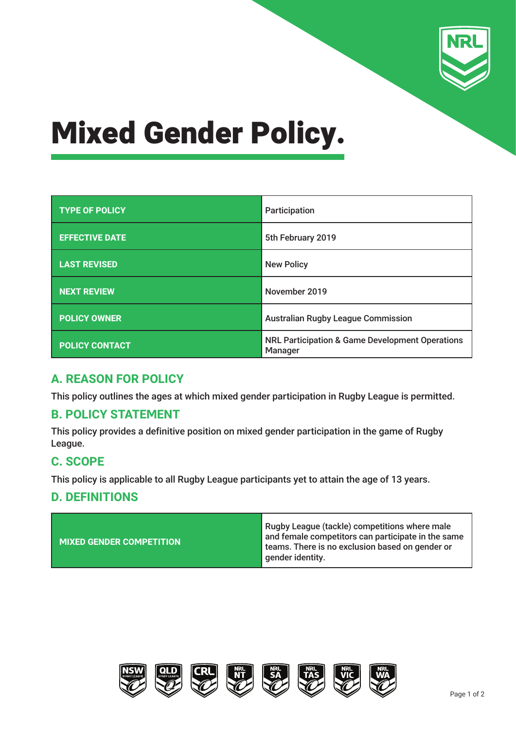

# Mixed Gender Policy.

| <b>TYPE OF POLICY</b> | Participation                                                         |  |
|-----------------------|-----------------------------------------------------------------------|--|
| <b>EFFECTIVE DATE</b> | 5th February 2019                                                     |  |
| <b>LAST REVISED</b>   | <b>New Policy</b>                                                     |  |
| <b>NEXT REVIEW</b>    | November 2019                                                         |  |
| <b>POLICY OWNER</b>   | <b>Australian Rugby League Commission</b>                             |  |
| <b>POLICY CONTACT</b> | <b>NRL Participation &amp; Game Development Operations</b><br>Manager |  |

## **A. REASON FOR POLICY**

This policy outlines the ages at which mixed gender participation in Rugby League is permitted.

## **B. POLICY STATEMENT**

This policy provides a definitive position on mixed gender participation in the game of Rugby League.

## **C. SCOPE**

This policy is applicable to all Rugby League participants yet to attain the age of 13 years.

## **D. DEFINITIONS**

| MIXED GENDER COMPETITION | Rugby League (tackle) competitions where male<br>and female competitors can participate in the same<br>teams. There is no exclusion based on gender or<br>gender identity. |
|--------------------------|----------------------------------------------------------------------------------------------------------------------------------------------------------------------------|
|--------------------------|----------------------------------------------------------------------------------------------------------------------------------------------------------------------------|